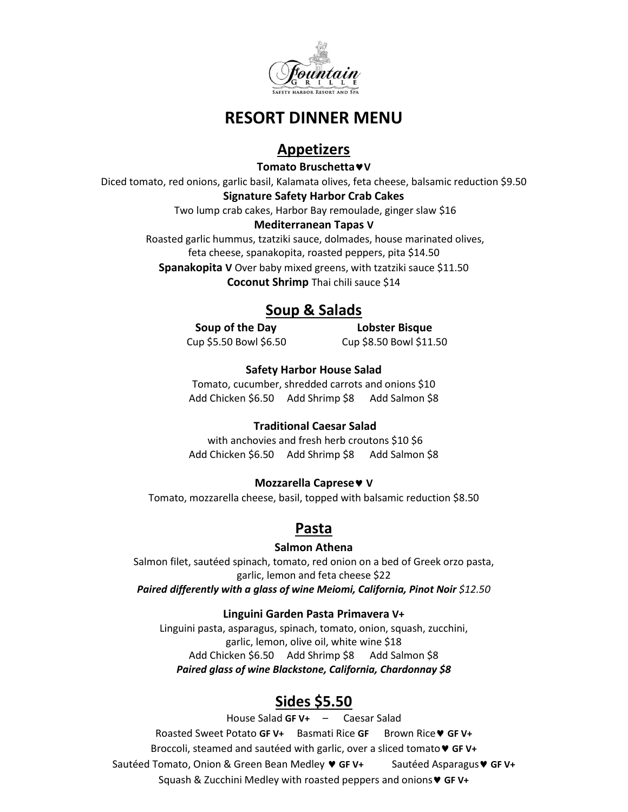

# **RESORT DINNER MENU**

## **Appetizers**

**Tomato BruschettaV**

Diced tomato, red onions, garlic basil, Kalamata olives, feta cheese, balsamic reduction \$9.50

**Signature Safety Harbor Crab Cakes**

Two lump crab cakes, Harbor Bay remoulade, ginger slaw \$16

#### **Mediterranean Tapas V**

Roasted garlic hummus, tzatziki sauce, dolmades, house marinated olives, feta cheese, spanakopita, roasted peppers, pita \$14.50 **Spanakopita V** Over baby mixed greens, with tzatziki sauce \$11.50 **Coconut Shrimp** Thai chili sauce \$14

# **Soup & Salads**

**Soup of the Day Lobster Bisque** Cup \$5.50 Bowl \$6.50 Cup \$8.50 Bowl \$11.50

## **Safety Harbor House Salad**

Tomato, cucumber, shredded carrots and onions \$10 Add Chicken \$6.50 Add Shrimp \$8 Add Salmon \$8

## **Traditional Caesar Salad**

with anchovies and fresh herb croutons \$10 \$6 Add Chicken \$6.50 Add Shrimp \$8 Add Salmon \$8

## **Mozzarella Caprese V**

Tomato, mozzarella cheese, basil, topped with balsamic reduction \$8.50

## **Pasta**

## **Salmon Athena**

Salmon filet, sautéed spinach, tomato, red onion on a bed of Greek orzo pasta, garlic, lemon and feta cheese \$22

*Paired differently with a glass of wine Meiomi, California, Pinot Noir \$12.50* 

## **Linguini Garden Pasta Primavera V+**

Linguini pasta, asparagus, spinach, tomato, onion, squash, zucchini, garlic, lemon, olive oil, white wine \$18 Add Chicken \$6.50 Add Shrimp \$8 Add Salmon \$8 *Paired glass of wine Blackstone, California, Chardonnay \$8*

## **Sides \$5.50**

House Salad **GF V+** – Caesar Salad Roasted Sweet Potato **GF V+** Basmati Rice **GF** Brown Rice **GF V+** Broccoli, steamed and sautéed with garlic, over a sliced tomato **GF V+** Sautéed Tomato, Onion & Green Bean Medley **GF V+** Sautéed Asparagus **GF V+** Squash & Zucchini Medley with roasted peppers and onions **GF V+**